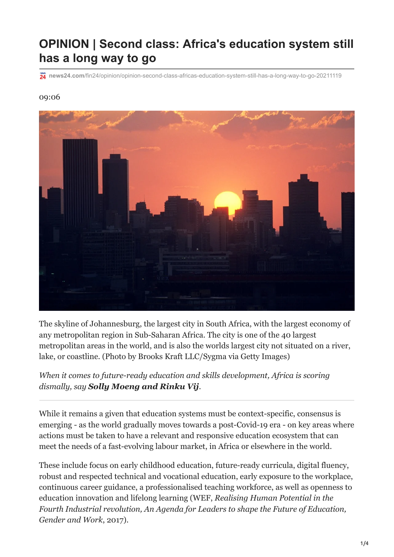## **OPINION | Second class: Africa's education system still has a long way to go**

**news24.com**[/fin24/opinion/opinion-second-class-africas-education-system-still-has-a-long-way-to-go-20211119](https://www.news24.com/fin24/opinion/opinion-second-class-africas-education-system-still-has-a-long-way-to-go-20211119)

## 09:06



The skyline of Johannesburg, the largest city in South Africa, with the largest economy of any metropolitan region in Sub-Saharan Africa. The city is one of the 40 largest metropolitan areas in the world, and is also the worlds largest city not situated on a river, lake, or coastline. (Photo by Brooks Kraft LLC/Sygma via Getty Images)

*When it comes to future-ready education and skills development, Africa is scoring dismally, say Solly Moeng and Rinku Vij.*

While it remains a given that education systems must be context-specific, consensus is emerging - as the world gradually moves towards a post-Covid-19 era - on key areas where actions must be taken to have a relevant and responsive education ecosystem that can meet the needs of a fast-evolving labour market, in Africa or elsewhere in the world.

These include focus on early childhood education, future-ready curricula, digital fluency, robust and respected technical and vocational education, early exposure to the workplace, continuous career guidance, a professionalised teaching workforce, as well as openness to education innovation and lifelong learning (WEF, *Realising Human Potential in the Fourth Industrial revolution, An Agenda for Leaders to shape the Future of Education, Gender and Work*, 2017).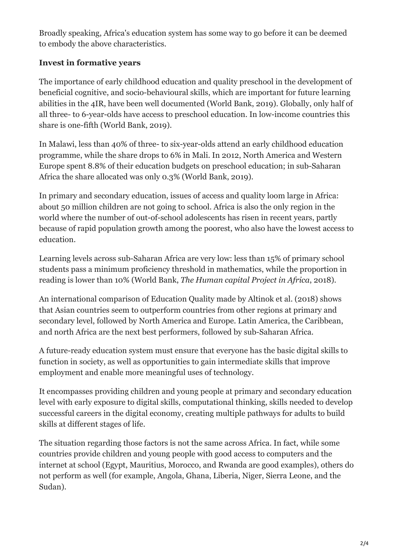Broadly speaking, Africa's education system has some way to go before it can be deemed to embody the above characteristics.

## **Invest in formative years**

The importance of early childhood education and quality preschool in the development of beneficial cognitive, and socio-behavioural skills, which are important for future learning abilities in the 4IR, have been well documented (World Bank, 2019). Globally, only half of all three- to 6-year-olds have access to preschool education. In low-income countries this share is one-fifth (World Bank, 2019).

In Malawi, less than 40% of three- to six-year-olds attend an early childhood education programme, while the share drops to 6% in Mali. In 2012, North America and Western Europe spent 8.8% of their education budgets on preschool education; in sub-Saharan Africa the share allocated was only 0.3% (World Bank, 2019).

In primary and secondary education, issues of access and quality loom large in Africa: about 50 million children are not going to school. Africa is also the only region in the world where the number of out-of-school adolescents has risen in recent years, partly because of rapid population growth among the poorest, who also have the lowest access to education.

Learning levels across sub-Saharan Africa are very low: less than 15% of primary school students pass a minimum proficiency threshold in mathematics, while the proportion in reading is lower than 10% (World Bank, *The Human capital Project in Africa*, 2018).

An international comparison of Education Quality made by Altinok et al. (2018) shows that Asian countries seem to outperform countries from other regions at primary and secondary level, followed by North America and Europe. Latin America, the Caribbean, and north Africa are the next best performers, followed by sub-Saharan Africa.

A future-ready education system must ensure that everyone has the basic digital skills to function in society, as well as opportunities to gain intermediate skills that improve employment and enable more meaningful uses of technology.

It encompasses providing children and young people at primary and secondary education level with early exposure to digital skills, computational thinking, skills needed to develop successful careers in the digital economy, creating multiple pathways for adults to build skills at different stages of life.

The situation regarding those factors is not the same across Africa. In fact, while some countries provide children and young people with good access to computers and the internet at school (Egypt, Mauritius, Morocco, and Rwanda are good examples), others do not perform as well (for example, Angola, Ghana, Liberia, Niger, Sierra Leone, and the Sudan).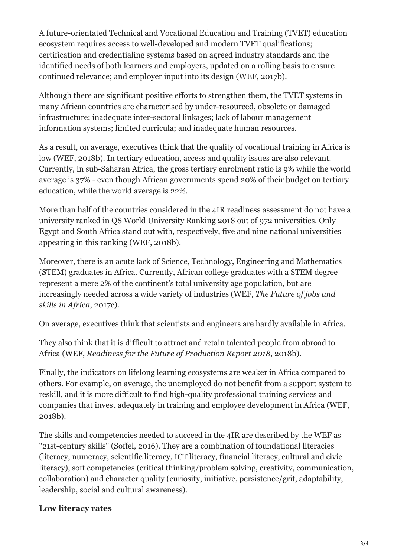A future-orientated Technical and Vocational Education and Training (TVET) education ecosystem requires access to well-developed and modern TVET qualifications; certification and credentialing systems based on agreed industry standards and the identified needs of both learners and employers, updated on a rolling basis to ensure continued relevance; and employer input into its design (WEF, 2017b).

Although there are significant positive efforts to strengthen them, the TVET systems in many African countries are characterised by under-resourced, obsolete or damaged infrastructure; inadequate inter-sectoral linkages; lack of labour management information systems; limited curricula; and inadequate human resources.

As a result, on average, executives think that the quality of vocational training in Africa is low (WEF, 2018b). In tertiary education, access and quality issues are also relevant. Currently, in sub-Saharan Africa, the gross tertiary enrolment ratio is 9% while the world average is 37% - even though African governments spend 20% of their budget on tertiary education, while the world average is 22%.

More than half of the countries considered in the 4IR readiness assessment do not have a university ranked in QS World University Ranking 2018 out of 972 universities. Only Egypt and South Africa stand out with, respectively, five and nine national universities appearing in this ranking (WEF, 2018b).

Moreover, there is an acute lack of Science, Technology, Engineering and Mathematics (STEM) graduates in Africa. Currently, African college graduates with a STEM degree represent a mere 2% of the continent's total university age population, but are increasingly needed across a wide variety of industries (WEF, *The Future of jobs and skills in Africa*, 2017c).

On average, executives think that scientists and engineers are hardly available in Africa.

They also think that it is difficult to attract and retain talented people from abroad to Africa (WEF, *Readiness for the Future of Production Report 2018*, 2018b).

Finally, the indicators on lifelong learning ecosystems are weaker in Africa compared to others. For example, on average, the unemployed do not benefit from a support system to reskill, and it is more difficult to find high-quality professional training services and companies that invest adequately in training and employee development in Africa (WEF, 2018b).

The skills and competencies needed to succeed in the 4IR are described by the WEF as "21st-century skills" (Soffel, 2016). They are a combination of foundational literacies (literacy, numeracy, scientific literacy, ICT literacy, financial literacy, cultural and civic literacy), soft competencies (critical thinking/problem solving, creativity, communication, collaboration) and character quality (curiosity, initiative, persistence/grit, adaptability, leadership, social and cultural awareness).

## **Low literacy rates**